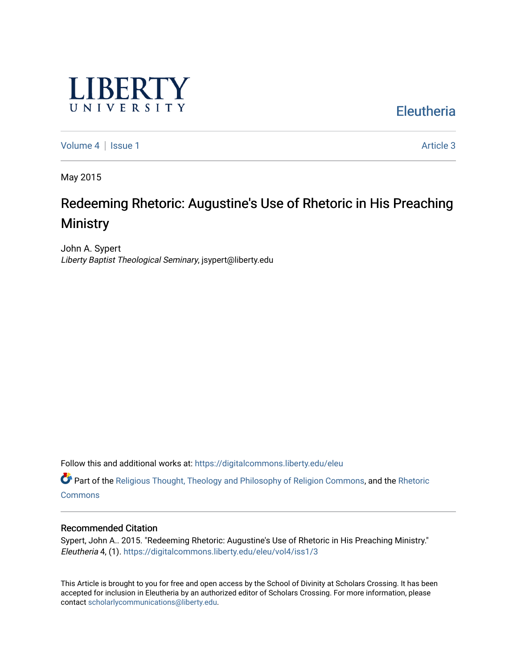

**Eleutheria** 

[Volume 4](https://digitalcommons.liberty.edu/eleu/vol4) | [Issue 1](https://digitalcommons.liberty.edu/eleu/vol4/iss1) Article 3

May 2015

# Redeeming Rhetoric: Augustine's Use of Rhetoric in His Preaching **Ministry**

John A. Sypert Liberty Baptist Theological Seminary, jsypert@liberty.edu

Follow this and additional works at: [https://digitalcommons.liberty.edu/eleu](https://digitalcommons.liberty.edu/eleu?utm_source=digitalcommons.liberty.edu%2Feleu%2Fvol4%2Fiss1%2F3&utm_medium=PDF&utm_campaign=PDFCoverPages) 

Part of the [Religious Thought, Theology and Philosophy of Religion Commons,](http://network.bepress.com/hgg/discipline/544?utm_source=digitalcommons.liberty.edu%2Feleu%2Fvol4%2Fiss1%2F3&utm_medium=PDF&utm_campaign=PDFCoverPages) and the [Rhetoric](http://network.bepress.com/hgg/discipline/575?utm_source=digitalcommons.liberty.edu%2Feleu%2Fvol4%2Fiss1%2F3&utm_medium=PDF&utm_campaign=PDFCoverPages)  **[Commons](http://network.bepress.com/hgg/discipline/575?utm_source=digitalcommons.liberty.edu%2Feleu%2Fvol4%2Fiss1%2F3&utm_medium=PDF&utm_campaign=PDFCoverPages)** 

#### Recommended Citation

Sypert, John A.. 2015. "Redeeming Rhetoric: Augustine's Use of Rhetoric in His Preaching Ministry." Eleutheria 4, (1). [https://digitalcommons.liberty.edu/eleu/vol4/iss1/3](https://digitalcommons.liberty.edu/eleu/vol4/iss1/3?utm_source=digitalcommons.liberty.edu%2Feleu%2Fvol4%2Fiss1%2F3&utm_medium=PDF&utm_campaign=PDFCoverPages) 

This Article is brought to you for free and open access by the School of Divinity at Scholars Crossing. It has been accepted for inclusion in Eleutheria by an authorized editor of Scholars Crossing. For more information, please contact [scholarlycommunications@liberty.edu](mailto:scholarlycommunications@liberty.edu).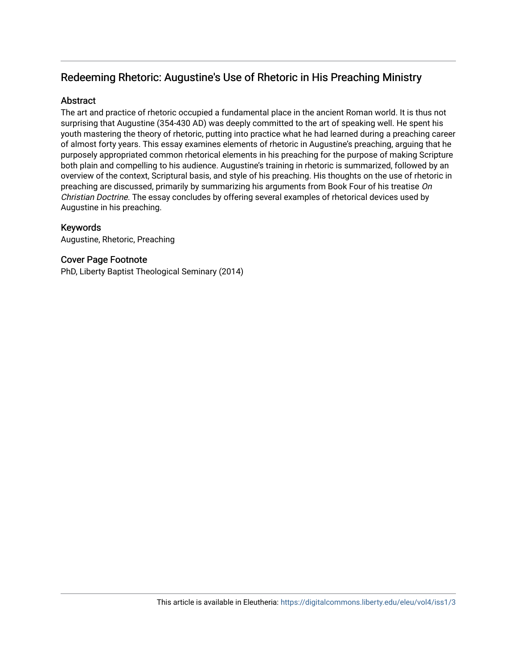# Redeeming Rhetoric: Augustine's Use of Rhetoric in His Preaching Ministry

# **Abstract**

The art and practice of rhetoric occupied a fundamental place in the ancient Roman world. It is thus not surprising that Augustine (354-430 AD) was deeply committed to the art of speaking well. He spent his youth mastering the theory of rhetoric, putting into practice what he had learned during a preaching career of almost forty years. This essay examines elements of rhetoric in Augustine's preaching, arguing that he purposely appropriated common rhetorical elements in his preaching for the purpose of making Scripture both plain and compelling to his audience. Augustine's training in rhetoric is summarized, followed by an overview of the context, Scriptural basis, and style of his preaching. His thoughts on the use of rhetoric in preaching are discussed, primarily by summarizing his arguments from Book Four of his treatise On Christian Doctrine. The essay concludes by offering several examples of rhetorical devices used by Augustine in his preaching.

# Keywords

Augustine, Rhetoric, Preaching

# Cover Page Footnote

PhD, Liberty Baptist Theological Seminary (2014)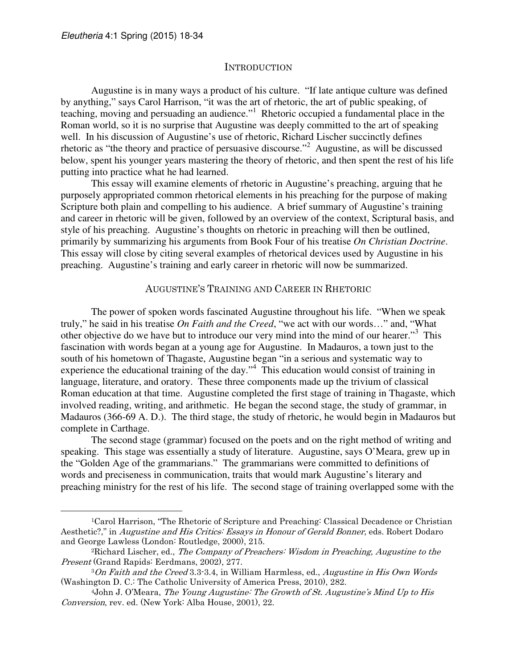$\overline{a}$ 

#### INTRODUCTION

 Augustine is in many ways a product of his culture. "If late antique culture was defined by anything," says Carol Harrison, "it was the art of rhetoric, the art of public speaking, of teaching, moving and persuading an audience."<sup>1</sup> Rhetoric occupied a fundamental place in the Roman world, so it is no surprise that Augustine was deeply committed to the art of speaking well. In his discussion of Augustine's use of rhetoric, Richard Lischer succinctly defines rhetoric as "the theory and practice of persuasive discourse."<sup>2</sup> Augustine, as will be discussed below, spent his younger years mastering the theory of rhetoric, and then spent the rest of his life putting into practice what he had learned.

This essay will examine elements of rhetoric in Augustine's preaching, arguing that he purposely appropriated common rhetorical elements in his preaching for the purpose of making Scripture both plain and compelling to his audience. A brief summary of Augustine's training and career in rhetoric will be given, followed by an overview of the context, Scriptural basis, and style of his preaching. Augustine's thoughts on rhetoric in preaching will then be outlined, primarily by summarizing his arguments from Book Four of his treatise *On Christian Doctrine*. This essay will close by citing several examples of rhetorical devices used by Augustine in his preaching. Augustine's training and early career in rhetoric will now be summarized.

## AUGUSTINE'S TRAINING AND CAREER IN RHETORIC

The power of spoken words fascinated Augustine throughout his life. "When we speak truly," he said in his treatise *On Faith and the Creed*, "we act with our words…" and, "What other objective do we have but to introduce our very mind into the mind of our hearer."<sup>3</sup> This fascination with words began at a young age for Augustine. In Madauros, a town just to the south of his hometown of Thagaste, Augustine began "in a serious and systematic way to experience the educational training of the day."<sup>4</sup> This education would consist of training in language, literature, and oratory. These three components made up the trivium of classical Roman education at that time. Augustine completed the first stage of training in Thagaste, which involved reading, writing, and arithmetic. He began the second stage, the study of grammar, in Madauros (366-69 A. D.). The third stage, the study of rhetoric, he would begin in Madauros but complete in Carthage.

The second stage (grammar) focused on the poets and on the right method of writing and speaking. This stage was essentially a study of literature. Augustine, says O'Meara, grew up in the "Golden Age of the grammarians." The grammarians were committed to definitions of words and preciseness in communication, traits that would mark Augustine's literary and preaching ministry for the rest of his life. The second stage of training overlapped some with the

<sup>1</sup>Carol Harrison, "The Rhetoric of Scripture and Preaching: Classical Decadence or Christian Aesthetic?," in Augustine and His Critics: Essays in Honour of Gerald Bonner, eds. Robert Dodaro and George Lawless (London: Routledge, 2000), 215.

<sup>2</sup>Richard Lischer, ed., The Company of Preachers: Wisdom in Preaching, Augustine to the Present (Grand Rapids: Eerdmans, 2002), 277.

<sup>3</sup>On Faith and the Creed 3.3-3.4, in William Harmless, ed., Augustine in His Own Words (Washington D. C.: The Catholic University of America Press, 2010), 282.

<sup>4</sup>John J. O'Meara, The Young Augustine: The Growth of St. Augustine's Mind Up to His Conversion, rev. ed. (New York: Alba House, 2001), 22.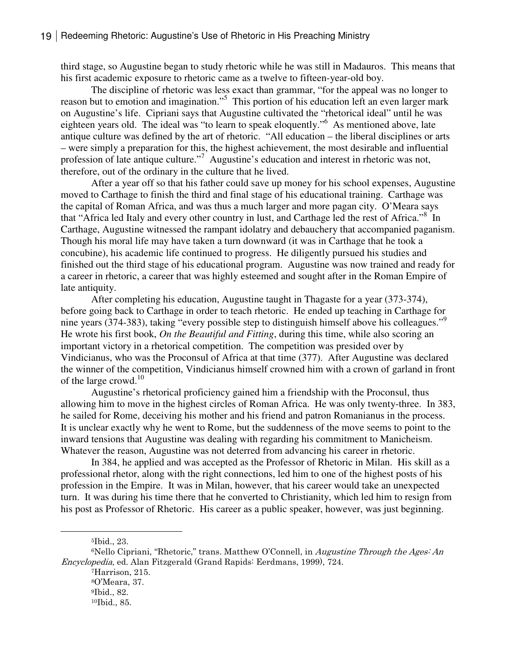third stage, so Augustine began to study rhetoric while he was still in Madauros. This means that his first academic exposure to rhetoric came as a twelve to fifteen-year-old boy.

The discipline of rhetoric was less exact than grammar, "for the appeal was no longer to reason but to emotion and imagination."<sup>5</sup> This portion of his education left an even larger mark on Augustine's life. Cipriani says that Augustine cultivated the "rhetorical ideal" until he was eighteen years old. The ideal was "to learn to speak eloquently."<sup>6</sup> As mentioned above, late antique culture was defined by the art of rhetoric. "All education – the liberal disciplines or arts – were simply a preparation for this, the highest achievement, the most desirable and influential profession of late antique culture."<sup>7</sup> Augustine's education and interest in rhetoric was not, therefore, out of the ordinary in the culture that he lived.

After a year off so that his father could save up money for his school expenses, Augustine moved to Carthage to finish the third and final stage of his educational training. Carthage was the capital of Roman Africa, and was thus a much larger and more pagan city. O'Meara says that "Africa led Italy and every other country in lust, and Carthage led the rest of Africa."<sup>8</sup> In Carthage, Augustine witnessed the rampant idolatry and debauchery that accompanied paganism. Though his moral life may have taken a turn downward (it was in Carthage that he took a concubine), his academic life continued to progress. He diligently pursued his studies and finished out the third stage of his educational program. Augustine was now trained and ready for a career in rhetoric, a career that was highly esteemed and sought after in the Roman Empire of late antiquity.

After completing his education, Augustine taught in Thagaste for a year (373-374), before going back to Carthage in order to teach rhetoric. He ended up teaching in Carthage for nine years (374-383), taking "every possible step to distinguish himself above his colleagues."<sup>9</sup> He wrote his first book, *On the Beautiful and Fitting*, during this time, while also scoring an important victory in a rhetorical competition. The competition was presided over by Vindicianus, who was the Proconsul of Africa at that time (377). After Augustine was declared the winner of the competition, Vindicianus himself crowned him with a crown of garland in front of the large crowd.<sup>10</sup>

Augustine's rhetorical proficiency gained him a friendship with the Proconsul, thus allowing him to move in the highest circles of Roman Africa. He was only twenty-three. In 383, he sailed for Rome, deceiving his mother and his friend and patron Romanianus in the process. It is unclear exactly why he went to Rome, but the suddenness of the move seems to point to the inward tensions that Augustine was dealing with regarding his commitment to Manicheism. Whatever the reason, Augustine was not deterred from advancing his career in rhetoric.

In 384, he applied and was accepted as the Professor of Rhetoric in Milan. His skill as a professional rhetor, along with the right connections, led him to one of the highest posts of his profession in the Empire. It was in Milan, however, that his career would take an unexpected turn. It was during his time there that he converted to Christianity, which led him to resign from his post as Professor of Rhetoric. His career as a public speaker, however, was just beginning.

<sup>5</sup>Ibid., 23.

 $\overline{a}$ 

 $6$ Nello Cipriani, "Rhetoric," trans. Matthew O'Connell, in *Augustine Through the Ages: An* Encyclopedia, ed. Alan Fitzgerald (Grand Rapids: Eerdmans, 1999), 724.

<sup>7</sup>Harrison, 215. <sup>8</sup>O'Meara, 37. <sup>9</sup>Ibid., 82.

<sup>10</sup>Ibid., 85.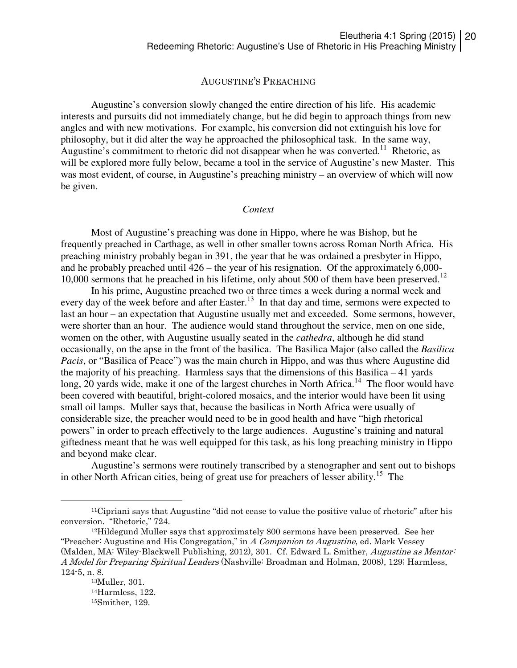#### AUGUSTINE'S PREACHING

 Augustine's conversion slowly changed the entire direction of his life. His academic interests and pursuits did not immediately change, but he did begin to approach things from new angles and with new motivations. For example, his conversion did not extinguish his love for philosophy, but it did alter the way he approached the philosophical task. In the same way, Augustine's commitment to rhetoric did not disappear when he was converted.<sup>11</sup> Rhetoric, as will be explored more fully below, became a tool in the service of Augustine's new Master. This was most evident, of course, in Augustine's preaching ministry – an overview of which will now be given.

#### *Context*

 Most of Augustine's preaching was done in Hippo, where he was Bishop, but he frequently preached in Carthage, as well in other smaller towns across Roman North Africa. His preaching ministry probably began in 391, the year that he was ordained a presbyter in Hippo, and he probably preached until 426 – the year of his resignation. Of the approximately 6,000- 10,000 sermons that he preached in his lifetime, only about 500 of them have been preserved.<sup>12</sup>

In his prime, Augustine preached two or three times a week during a normal week and every day of the week before and after Easter.<sup>13</sup> In that day and time, sermons were expected to last an hour – an expectation that Augustine usually met and exceeded. Some sermons, however, were shorter than an hour. The audience would stand throughout the service, men on one side, women on the other, with Augustine usually seated in the *cathedra*, although he did stand occasionally, on the apse in the front of the basilica. The Basilica Major (also called the *Basilica Pacis*, or "Basilica of Peace") was the main church in Hippo, and was thus where Augustine did the majority of his preaching. Harmless says that the dimensions of this Basilica – 41 yards long, 20 yards wide, make it one of the largest churches in North Africa.<sup>14</sup> The floor would have been covered with beautiful, bright-colored mosaics, and the interior would have been lit using small oil lamps. Muller says that, because the basilicas in North Africa were usually of considerable size, the preacher would need to be in good health and have "high rhetorical powers" in order to preach effectively to the large audiences. Augustine's training and natural giftedness meant that he was well equipped for this task, as his long preaching ministry in Hippo and beyond make clear.

Augustine's sermons were routinely transcribed by a stenographer and sent out to bishops in other North African cities, being of great use for preachers of lesser ability.<sup>15</sup> The

<sup>11</sup>Cipriani says that Augustine "did not cease to value the positive value of rhetoric" after his conversion. "Rhetoric," 724.

<sup>12</sup>Hildegund Muller says that approximately 800 sermons have been preserved. See her "Preacher: Augustine and His Congregation," in  $\Lambda$  Companion to Augustine, ed. Mark Vessey (Malden, MA: Wiley-Blackwell Publishing, 2012), 301. Cf. Edward L. Smither, Augustine as Mentor: A Model for Preparing Spiritual Leaders (Nashville: Broadman and Holman, 2008), 129; Harmless, 124-5, n. 8.

<sup>13</sup>Muller, 301. <sup>14</sup>Harmless, 122. 15Smither, 129.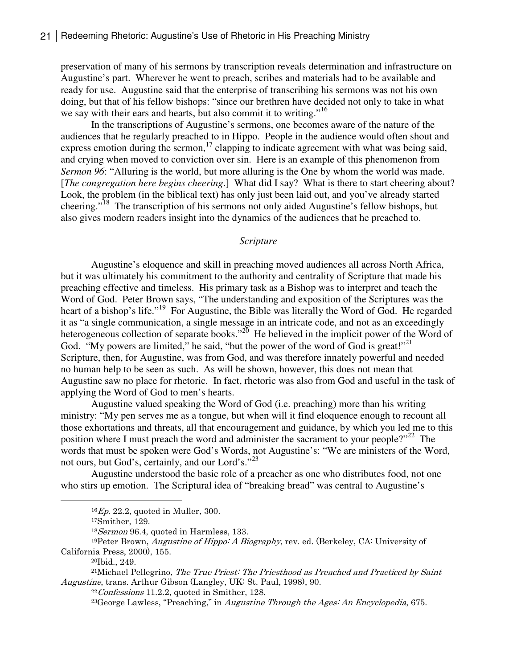preservation of many of his sermons by transcription reveals determination and infrastructure on Augustine's part. Wherever he went to preach, scribes and materials had to be available and ready for use. Augustine said that the enterprise of transcribing his sermons was not his own doing, but that of his fellow bishops: "since our brethren have decided not only to take in what we say with their ears and hearts, but also commit it to writing."<sup>16</sup>

In the transcriptions of Augustine's sermons, one becomes aware of the nature of the audiences that he regularly preached to in Hippo. People in the audience would often shout and express emotion during the sermon,<sup>17</sup> clapping to indicate agreement with what was being said, and crying when moved to conviction over sin. Here is an example of this phenomenon from *Sermon 96*: "Alluring is the world, but more alluring is the One by whom the world was made. [*The congregation here begins cheering*.] What did I say? What is there to start cheering about? Look, the problem (in the biblical text) has only just been laid out, and you've already started cheering."<sup>18</sup> The transcription of his sermons not only aided Augustine's fellow bishops, but also gives modern readers insight into the dynamics of the audiences that he preached to.

#### *Scripture*

 Augustine's eloquence and skill in preaching moved audiences all across North Africa, but it was ultimately his commitment to the authority and centrality of Scripture that made his preaching effective and timeless. His primary task as a Bishop was to interpret and teach the Word of God. Peter Brown says, "The understanding and exposition of the Scriptures was the heart of a bishop's life."<sup>19</sup> For Augustine, the Bible was literally the Word of God. He regarded it as "a single communication, a single message in an intricate code, and not as an exceedingly heterogeneous collection of separate books."<sup>20</sup> He believed in the implicit power of the Word of God. "My powers are limited," he said, "but the power of the word of God is great!"<sup>21</sup> Scripture, then, for Augustine, was from God, and was therefore innately powerful and needed no human help to be seen as such. As will be shown, however, this does not mean that Augustine saw no place for rhetoric. In fact, rhetoric was also from God and useful in the task of applying the Word of God to men's hearts.

Augustine valued speaking the Word of God (i.e. preaching) more than his writing ministry: "My pen serves me as a tongue, but when will it find eloquence enough to recount all those exhortations and threats, all that encouragement and guidance, by which you led me to this position where I must preach the word and administer the sacrament to your people?"<sup>22</sup> The words that must be spoken were God's Words, not Augustine's: "We are ministers of the Word, not ours, but God's, certainly, and our Lord's."<sup>23</sup>

Augustine understood the basic role of a preacher as one who distributes food, not one who stirs up emotion. The Scriptural idea of "breaking bread" was central to Augustine's

 $16$  Ep. 22.2, quoted in Muller, 300.

<sup>17</sup>Smither, 129.

<sup>18</sup>Sermon 96.4, quoted in Harmless, 133.

<sup>&</sup>lt;sup>19</sup>Peter Brown, *Augustine of Hippo: A Biography*, rev. ed. (Berkeley, CA: University of California Press, 2000), 155.

<sup>20</sup>Ibid., 249.

<sup>&</sup>lt;sup>21</sup>Michael Pellegrino, The True Priest: The Priesthood as Preached and Practiced by Saint Augustine, trans. Arthur Gibson (Langley, UK: St. Paul, 1998), 90.

 $22$  Confessions 11.2.2, quoted in Smither, 128.

<sup>&</sup>lt;sup>23</sup>George Lawless, "Preaching," in *Augustine Through the Ages: An Encyclopedia*, 675.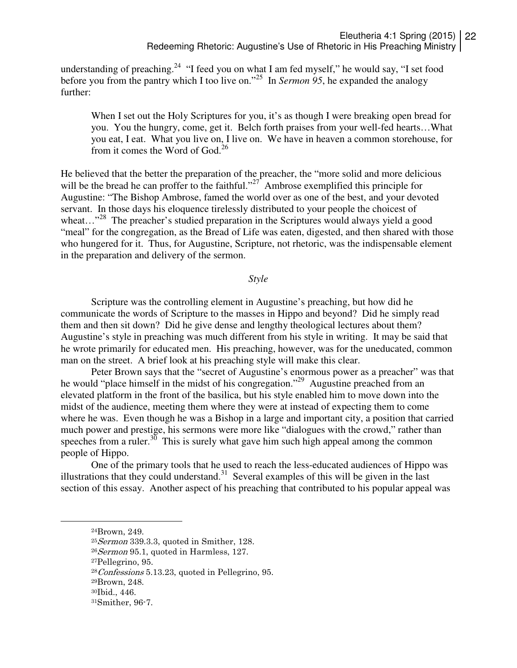understanding of preaching.<sup>24</sup> "I feed you on what I am fed myself," he would say, "I set food before you from the pantry which I too live on."<sup>25</sup> In *Sermon 95*, he expanded the analogy further:

When I set out the Holy Scriptures for you, it's as though I were breaking open bread for you. You the hungry, come, get it. Belch forth praises from your well-fed hearts…What you eat, I eat. What you live on, I live on. We have in heaven a common storehouse, for from it comes the Word of  $God.<sup>26</sup>$ 

He believed that the better the preparation of the preacher, the "more solid and more delicious will be the bread he can proffer to the faithful."<sup>27</sup> Ambrose exemplified this principle for Augustine: "The Bishop Ambrose, famed the world over as one of the best, and your devoted servant. In those days his eloquence tirelessly distributed to your people the choicest of wheat..."<sup>28</sup> The preacher's studied preparation in the Scriptures would always yield a good "meal" for the congregation, as the Bread of Life was eaten, digested, and then shared with those who hungered for it. Thus, for Augustine, Scripture, not rhetoric, was the indispensable element in the preparation and delivery of the sermon.

*Style* 

 Scripture was the controlling element in Augustine's preaching, but how did he communicate the words of Scripture to the masses in Hippo and beyond? Did he simply read them and then sit down? Did he give dense and lengthy theological lectures about them? Augustine's style in preaching was much different from his style in writing. It may be said that he wrote primarily for educated men. His preaching, however, was for the uneducated, common man on the street. A brief look at his preaching style will make this clear.

 Peter Brown says that the "secret of Augustine's enormous power as a preacher" was that he would "place himself in the midst of his congregation."<sup>29</sup> Augustine preached from an elevated platform in the front of the basilica, but his style enabled him to move down into the midst of the audience, meeting them where they were at instead of expecting them to come where he was. Even though he was a Bishop in a large and important city, a position that carried much power and prestige, his sermons were more like "dialogues with the crowd," rather than speeches from a ruler.<sup>30</sup> This is surely what gave him such high appeal among the common people of Hippo.

One of the primary tools that he used to reach the less-educated audiences of Hippo was illustrations that they could understand.<sup>31</sup> Several examples of this will be given in the last section of this essay. Another aspect of his preaching that contributed to his popular appeal was

<sup>24</sup>Brown, 249.

<sup>25</sup>Sermon 339.3.3, quoted in Smither, 128.

 $26$  Sermon 95.1, quoted in Harmless, 127.

<sup>27</sup>Pellegrino, 95.

 $28\textit{Conf}$ essions 5.13.23, quoted in Pellegrino, 95.

<sup>29</sup>Brown, 248.

<sup>30</sup>Ibid., 446.

<sup>31</sup>Smither, 96-7.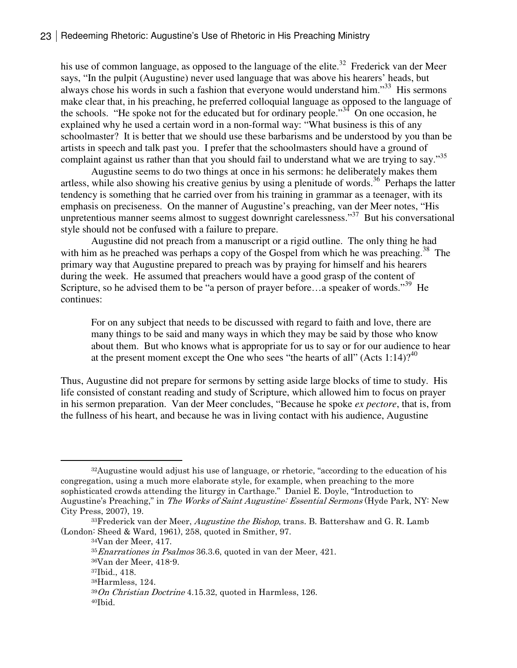his use of common language, as opposed to the language of the elite.<sup>32</sup> Frederick van der Meer says, "In the pulpit (Augustine) never used language that was above his hearers' heads, but always chose his words in such a fashion that everyone would understand him."<sup>33</sup> His sermons make clear that, in his preaching, he preferred colloquial language as opposed to the language of the schools. "He spoke not for the educated but for ordinary people."<sup>34</sup> On one occasion, he explained why he used a certain word in a non-formal way: "What business is this of any schoolmaster? It is better that we should use these barbarisms and be understood by you than be artists in speech and talk past you. I prefer that the schoolmasters should have a ground of complaint against us rather than that you should fail to understand what we are trying to say."<sup>35</sup>

Augustine seems to do two things at once in his sermons: he deliberately makes them artless, while also showing his creative genius by using a plenitude of words.<sup>36</sup> Perhaps the latter tendency is something that he carried over from his training in grammar as a teenager, with its emphasis on preciseness. On the manner of Augustine's preaching, van der Meer notes, "His unpretentious manner seems almost to suggest downright carelessness."<sup>37</sup> But his conversational style should not be confused with a failure to prepare.

Augustine did not preach from a manuscript or a rigid outline. The only thing he had with him as he preached was perhaps a copy of the Gospel from which he was preaching.<sup>38</sup> The primary way that Augustine prepared to preach was by praying for himself and his hearers during the week. He assumed that preachers would have a good grasp of the content of Scripture, so he advised them to be "a person of prayer before...a speaker of words."<sup>39</sup> He continues:

For on any subject that needs to be discussed with regard to faith and love, there are many things to be said and many ways in which they may be said by those who know about them. But who knows what is appropriate for us to say or for our audience to hear at the present moment except the One who sees "the hearts of all" (Acts  $1:14$ )?<sup>40</sup>

Thus, Augustine did not prepare for sermons by setting aside large blocks of time to study. His life consisted of constant reading and study of Scripture, which allowed him to focus on prayer in his sermon preparation. Van der Meer concludes, "Because he spoke *ex pectore*, that is, from the fullness of his heart, and because he was in living contact with his audience, Augustine

<sup>32</sup>Augustine would adjust his use of language, or rhetoric, "according to the education of his congregation, using a much more elaborate style, for example, when preaching to the more sophisticated crowds attending the liturgy in Carthage." Daniel E. Doyle, "Introduction to Augustine's Preaching," in The Works of Saint Augustine: Essential Sermons (Hyde Park, NY: New City Press, 2007), 19.

 $33$ Frederick van der Meer, *Augustine the Bishop*, trans. B. Battershaw and G. R. Lamb (London: Sheed & Ward, 1961), 258, quoted in Smither, 97.

<sup>34</sup>Van der Meer, 417.

<sup>&</sup>lt;sup>35</sup> Enarrationes in Psalmos 36.3.6, quoted in van der Meer, 421.

<sup>36</sup>Van der Meer, 418-9.

<sup>37</sup>Ibid., 418.

<sup>38</sup>Harmless, 124.

 $39On$  Christian Doctrine 4.15.32, quoted in Harmless, 126.

<sup>40</sup>Ibid.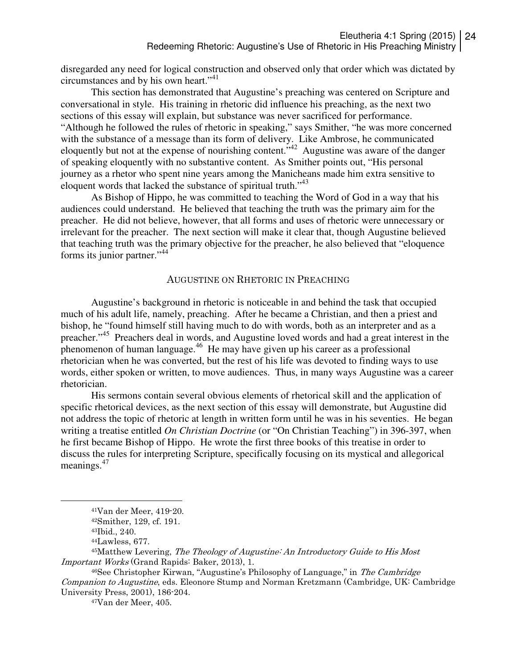disregarded any need for logical construction and observed only that order which was dictated by circumstances and by his own heart."<sup>41</sup>

 This section has demonstrated that Augustine's preaching was centered on Scripture and conversational in style. His training in rhetoric did influence his preaching, as the next two sections of this essay will explain, but substance was never sacrificed for performance. "Although he followed the rules of rhetoric in speaking," says Smither, "he was more concerned with the substance of a message than its form of delivery. Like Ambrose, he communicated eloquently but not at the expense of nourishing content."<sup>42</sup> Augustine was aware of the danger of speaking eloquently with no substantive content. As Smither points out, "His personal journey as a rhetor who spent nine years among the Manicheans made him extra sensitive to eloquent words that lacked the substance of spiritual truth."<sup>43</sup>

As Bishop of Hippo, he was committed to teaching the Word of God in a way that his audiences could understand. He believed that teaching the truth was the primary aim for the preacher. He did not believe, however, that all forms and uses of rhetoric were unnecessary or irrelevant for the preacher. The next section will make it clear that, though Augustine believed that teaching truth was the primary objective for the preacher, he also believed that "eloquence forms its junior partner."<sup>44</sup>

## AUGUSTINE ON RHETORIC IN PREACHING

Augustine's background in rhetoric is noticeable in and behind the task that occupied much of his adult life, namely, preaching. After he became a Christian, and then a priest and bishop, he "found himself still having much to do with words, both as an interpreter and as a preacher."<sup>45</sup> Preachers deal in words, and Augustine loved words and had a great interest in the phenomenon of human language.<sup>46</sup> He may have given up his career as a professional rhetorician when he was converted, but the rest of his life was devoted to finding ways to use words, either spoken or written, to move audiences. Thus, in many ways Augustine was a career rhetorician.

His sermons contain several obvious elements of rhetorical skill and the application of specific rhetorical devices, as the next section of this essay will demonstrate, but Augustine did not address the topic of rhetoric at length in written form until he was in his seventies. He began writing a treatise entitled *On Christian Doctrine* (or "On Christian Teaching") in 396-397, when he first became Bishop of Hippo. He wrote the first three books of this treatise in order to discuss the rules for interpreting Scripture, specifically focusing on its mystical and allegorical meanings.<sup>47</sup>

 $\overline{a}$ 

47Van der Meer, 405.

<sup>41</sup>Van der Meer, 419-20.

<sup>42</sup>Smither, 129, cf. 191.

<sup>43</sup>Ibid., 240.

<sup>44</sup>Lawless, 677.

<sup>45</sup>Matthew Levering, The Theology of Augustine: An Introductory Guide to His Most Important Works (Grand Rapids: Baker, 2013), 1.

<sup>46</sup>See Christopher Kirwan, "Augustine's Philosophy of Language," in The Cambridge Companion to Augustine, eds. Eleonore Stump and Norman Kretzmann (Cambridge, UK: Cambridge University Press, 2001), 186-204.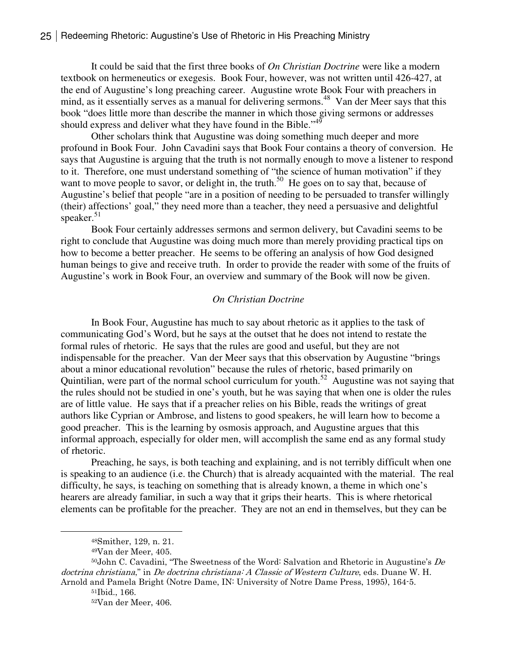It could be said that the first three books of *On Christian Doctrine* were like a modern textbook on hermeneutics or exegesis. Book Four, however, was not written until 426-427, at the end of Augustine's long preaching career. Augustine wrote Book Four with preachers in mind, as it essentially serves as a manual for delivering sermons.<sup>48</sup> Van der Meer says that this book "does little more than describe the manner in which those giving sermons or addresses should express and deliver what they have found in the Bible."<sup>49</sup>

Other scholars think that Augustine was doing something much deeper and more profound in Book Four. John Cavadini says that Book Four contains a theory of conversion. He says that Augustine is arguing that the truth is not normally enough to move a listener to respond to it. Therefore, one must understand something of "the science of human motivation" if they want to move people to savor, or delight in, the truth.<sup>50</sup> He goes on to say that, because of Augustine's belief that people "are in a position of needing to be persuaded to transfer willingly (their) affections' goal," they need more than a teacher, they need a persuasive and delightful speaker.<sup>51</sup>

Book Four certainly addresses sermons and sermon delivery, but Cavadini seems to be right to conclude that Augustine was doing much more than merely providing practical tips on how to become a better preacher. He seems to be offering an analysis of how God designed human beings to give and receive truth. In order to provide the reader with some of the fruits of Augustine's work in Book Four, an overview and summary of the Book will now be given.

#### *On Christian Doctrine*

 In Book Four, Augustine has much to say about rhetoric as it applies to the task of communicating God's Word, but he says at the outset that he does not intend to restate the formal rules of rhetoric. He says that the rules are good and useful, but they are not indispensable for the preacher. Van der Meer says that this observation by Augustine "brings about a minor educational revolution" because the rules of rhetoric, based primarily on Quintilian, were part of the normal school curriculum for youth.<sup>52</sup> Augustine was not saying that the rules should not be studied in one's youth, but he was saying that when one is older the rules are of little value. He says that if a preacher relies on his Bible, reads the writings of great authors like Cyprian or Ambrose, and listens to good speakers, he will learn how to become a good preacher. This is the learning by osmosis approach, and Augustine argues that this informal approach, especially for older men, will accomplish the same end as any formal study of rhetoric.

Preaching, he says, is both teaching and explaining, and is not terribly difficult when one is speaking to an audience (i.e. the Church) that is already acquainted with the material. The real difficulty, he says, is teaching on something that is already known, a theme in which one's hearers are already familiar, in such a way that it grips their hearts. This is where rhetorical elements can be profitable for the preacher. They are not an end in themselves, but they can be

 $50$ John C. Cavadini, "The Sweetness of the Word: Salvation and Rhetoric in Augustine's  $De$ doctrina christiana," in De doctrina christiana: A Classic of Western Culture, eds. Duane W. H. Arnold and Pamela Bright (Notre Dame, IN: University of Notre Dame Press, 1995), 164-5.

<sup>48</sup>Smither, 129, n. 21.

<sup>49</sup>Van der Meer, 405.

<sup>51</sup>Ibid., 166.

<sup>52</sup>Van der Meer, 406.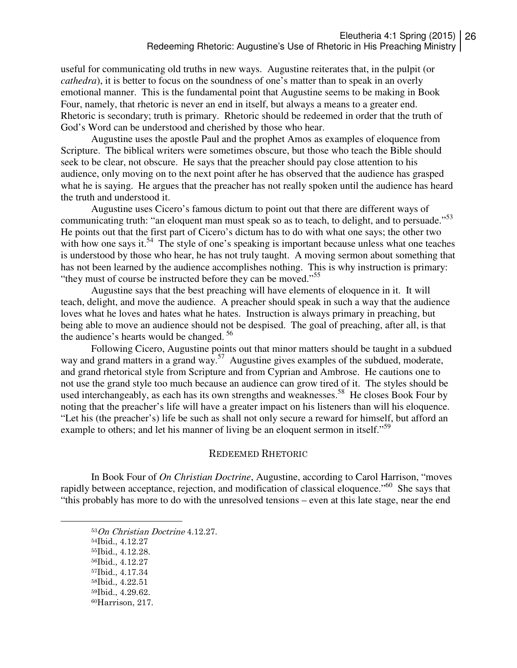useful for communicating old truths in new ways. Augustine reiterates that, in the pulpit (or *cathedra*), it is better to focus on the soundness of one's matter than to speak in an overly emotional manner. This is the fundamental point that Augustine seems to be making in Book Four, namely, that rhetoric is never an end in itself, but always a means to a greater end. Rhetoric is secondary; truth is primary. Rhetoric should be redeemed in order that the truth of God's Word can be understood and cherished by those who hear.

Augustine uses the apostle Paul and the prophet Amos as examples of eloquence from Scripture. The biblical writers were sometimes obscure, but those who teach the Bible should seek to be clear, not obscure. He says that the preacher should pay close attention to his audience, only moving on to the next point after he has observed that the audience has grasped what he is saying. He argues that the preacher has not really spoken until the audience has heard the truth and understood it.

Augustine uses Cicero's famous dictum to point out that there are different ways of communicating truth: "an eloquent man must speak so as to teach, to delight, and to persuade."<sup>53</sup> He points out that the first part of Cicero's dictum has to do with what one says; the other two with how one says it.<sup>54</sup> The style of one's speaking is important because unless what one teaches is understood by those who hear, he has not truly taught. A moving sermon about something that has not been learned by the audience accomplishes nothing. This is why instruction is primary: "they must of course be instructed before they can be moved."<sup>55</sup>

Augustine says that the best preaching will have elements of eloquence in it. It will teach, delight, and move the audience. A preacher should speak in such a way that the audience loves what he loves and hates what he hates. Instruction is always primary in preaching, but being able to move an audience should not be despised. The goal of preaching, after all, is that the audience's hearts would be changed.<sup>56</sup>

Following Cicero, Augustine points out that minor matters should be taught in a subdued way and grand matters in a grand way.<sup>57</sup> Augustine gives examples of the subdued, moderate, and grand rhetorical style from Scripture and from Cyprian and Ambrose. He cautions one to not use the grand style too much because an audience can grow tired of it. The styles should be used interchangeably, as each has its own strengths and weaknesses.<sup>58</sup> He closes Book Four by noting that the preacher's life will have a greater impact on his listeners than will his eloquence. "Let his (the preacher's) life be such as shall not only secure a reward for himself, but afford an example to others; and let his manner of living be an eloquent sermon in itself."<sup>59</sup>

#### REDEEMED RHETORIC

In Book Four of *On Christian Doctrine*, Augustine, according to Carol Harrison, "moves rapidly between acceptance, rejection, and modification of classical eloquence."<sup>60</sup> She says that "this probably has more to do with the unresolved tensions – even at this late stage, near the end

- <sup>53</sup>On Christian Doctrine 4.12.27.
- <sup>54</sup>Ibid., 4.12.27
- <sup>55</sup>Ibid., 4.12.28.
- <sup>56</sup>Ibid., 4.12.27

- <sup>57</sup>Ibid., 4.17.34
- <sup>58</sup>Ibid., 4.22.51
- <sup>59</sup>Ibid., 4.29.62.
- 60Harrison, 217.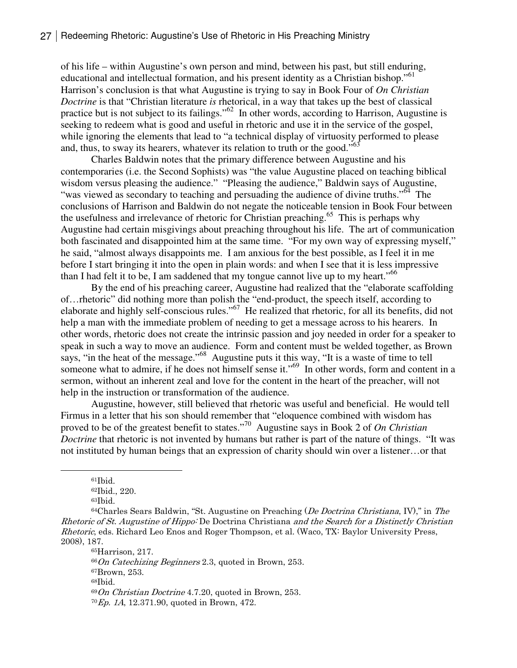of his life – within Augustine's own person and mind, between his past, but still enduring, educational and intellectual formation, and his present identity as a Christian bishop."<sup>61</sup> Harrison's conclusion is that what Augustine is trying to say in Book Four of *On Christian Doctrine* is that "Christian literature *is* rhetorical, in a way that takes up the best of classical practice but is not subject to its failings." $62$  In other words, according to Harrison, Augustine is seeking to redeem what is good and useful in rhetoric and use it in the service of the gospel, while ignoring the elements that lead to "a technical display of virtuosity performed to please and, thus, to sway its hearers, whatever its relation to truth or the good."<sup>63</sup>

Charles Baldwin notes that the primary difference between Augustine and his contemporaries (i.e. the Second Sophists) was "the value Augustine placed on teaching biblical wisdom versus pleasing the audience." "Pleasing the audience," Baldwin says of Augustine, "was viewed as secondary to teaching and persuading the audience of divine truths."<sup>64</sup> The conclusions of Harrison and Baldwin do not negate the noticeable tension in Book Four between the usefulness and irrelevance of rhetoric for Christian preaching.<sup>65</sup> This is perhaps why Augustine had certain misgivings about preaching throughout his life. The art of communication both fascinated and disappointed him at the same time. "For my own way of expressing myself," he said, "almost always disappoints me. I am anxious for the best possible, as I feel it in me before I start bringing it into the open in plain words: and when I see that it is less impressive than I had felt it to be, I am saddened that my tongue cannot live up to my heart."<sup>66</sup>

By the end of his preaching career, Augustine had realized that the "elaborate scaffolding of…rhetoric" did nothing more than polish the "end-product, the speech itself, according to elaborate and highly self-conscious rules."<sup>67</sup> He realized that rhetoric, for all its benefits, did not help a man with the immediate problem of needing to get a message across to his hearers. In other words, rhetoric does not create the intrinsic passion and joy needed in order for a speaker to speak in such a way to move an audience. Form and content must be welded together, as Brown says, "in the heat of the message."<sup>68</sup> Augustine puts it this way, "It is a waste of time to tell someone what to admire, if he does not himself sense it."<sup>69</sup> In other words, form and content in a sermon, without an inherent zeal and love for the content in the heart of the preacher, will not help in the instruction or transformation of the audience.

Augustine, however, still believed that rhetoric was useful and beneficial. He would tell Firmus in a letter that his son should remember that "eloquence combined with wisdom has proved to be of the greatest benefit to states."<sup>70</sup> Augustine says in Book 2 of *On Christian Doctrine* that rhetoric is not invented by humans but rather is part of the nature of things. "It was not instituted by human beings that an expression of charity should win over a listener…or that

 $\overline{a}$ 

Harrison, 217. On Catechizing Beginners 2.3, quoted in Brown, 253. Brown, 253. <sup>68</sup>Ibid.  $69On$  Christian Doctrine 4.7.20, quoted in Brown, 253. Ep. 1A, 12.371.90, quoted in Brown, 472.

<sup>61</sup>Ibid.

<sup>62</sup>Ibid., 220.

<sup>63</sup>Ibid.

 $64$ Charles Sears Baldwin, "St. Augustine on Preaching (*De Doctrina Christiana*, IV)," in *The* Rhetoric of St. Augustine of Hippo: De Doctrina Christiana and the Search for a Distinctly Christian Rhetoric, eds. Richard Leo Enos and Roger Thompson, et al. (Waco, TX: Baylor University Press, 2008), 187.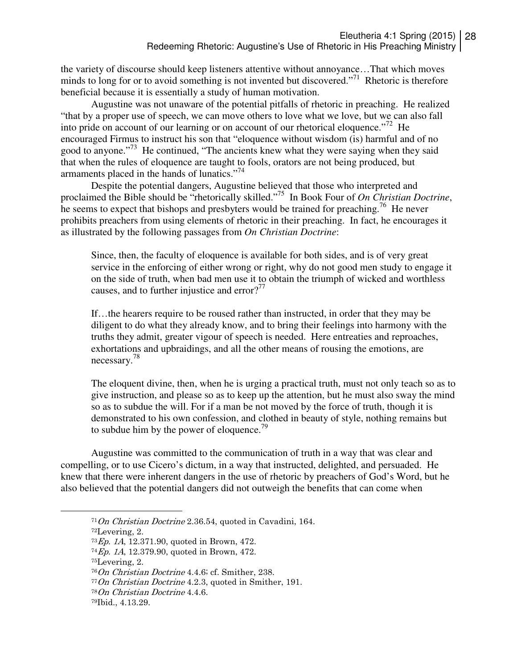the variety of discourse should keep listeners attentive without annoyance…That which moves minds to long for or to avoid something is not invented but discovered."<sup>71</sup> Rhetoric is therefore beneficial because it is essentially a study of human motivation.

Augustine was not unaware of the potential pitfalls of rhetoric in preaching. He realized "that by a proper use of speech, we can move others to love what we love, but we can also fall into pride on account of our learning or on account of our rhetorical eloquence.<sup> $272$ </sup> He encouraged Firmus to instruct his son that "eloquence without wisdom (is) harmful and of no good to anyone."<sup>73</sup> He continued, "The ancients knew what they were saying when they said that when the rules of eloquence are taught to fools, orators are not being produced, but armaments placed in the hands of lunatics."<sup>74</sup>

Despite the potential dangers, Augustine believed that those who interpreted and proclaimed the Bible should be "rhetorically skilled."<sup>75</sup> In Book Four of *On Christian Doctrine*, he seems to expect that bishops and presbyters would be trained for preaching.<sup>76</sup> He never prohibits preachers from using elements of rhetoric in their preaching. In fact, he encourages it as illustrated by the following passages from *On Christian Doctrine*:

Since, then, the faculty of eloquence is available for both sides, and is of very great service in the enforcing of either wrong or right, why do not good men study to engage it on the side of truth, when bad men use it to obtain the triumph of wicked and worthless causes, and to further injustice and error? $77$ 

If…the hearers require to be roused rather than instructed, in order that they may be diligent to do what they already know, and to bring their feelings into harmony with the truths they admit, greater vigour of speech is needed. Here entreaties and reproaches, exhortations and upbraidings, and all the other means of rousing the emotions, are necessary.<sup>78</sup>

The eloquent divine, then, when he is urging a practical truth, must not only teach so as to give instruction, and please so as to keep up the attention, but he must also sway the mind so as to subdue the will. For if a man be not moved by the force of truth, though it is demonstrated to his own confession, and clothed in beauty of style, nothing remains but to subdue him by the power of eloquence.<sup> $9$ </sup>

Augustine was committed to the communication of truth in a way that was clear and compelling, or to use Cicero's dictum, in a way that instructed, delighted, and persuaded. He knew that there were inherent dangers in the use of rhetoric by preachers of God's Word, but he also believed that the potential dangers did not outweigh the benefits that can come when

 $71On$  Christian Doctrine 2.36.54, quoted in Cavadini, 164.

<sup>72</sup>Levering, 2.

<sup>73</sup>Ep. 1A, 12.371.90, quoted in Brown, 472.

<sup>74</sup>Ep. 1A, 12.379.90, quoted in Brown, 472.

<sup>75</sup>Levering, 2.

<sup>76</sup>On Christian Doctrine 4.4.6; cf. Smither, 238.

 $77On$  Christian Doctrine 4.2.3, quoted in Smither, 191.

<sup>78</sup>On Christian Doctrine 4.4.6.

<sup>79</sup>Ibid., 4.13.29.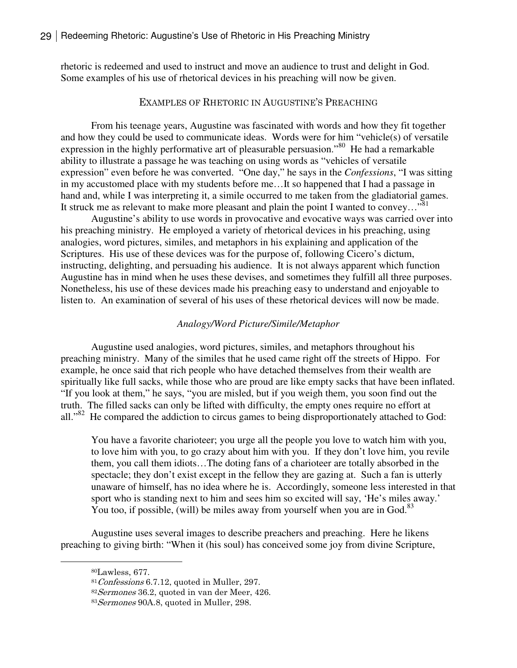rhetoric is redeemed and used to instruct and move an audience to trust and delight in God. Some examples of his use of rhetorical devices in his preaching will now be given.

# EXAMPLES OF RHETORIC IN AUGUSTINE'S PREACHING

 From his teenage years, Augustine was fascinated with words and how they fit together and how they could be used to communicate ideas. Words were for him "vehicle(s) of versatile expression in the highly performative art of pleasurable persuasion."<sup>80</sup> He had a remarkable ability to illustrate a passage he was teaching on using words as "vehicles of versatile expression" even before he was converted. "One day," he says in the *Confessions*, "I was sitting in my accustomed place with my students before me…It so happened that I had a passage in hand and, while I was interpreting it, a simile occurred to me taken from the gladiatorial games. It struck me as relevant to make more pleasant and plain the point I wanted to convey..." $\delta$ <sup>1</sup>

Augustine's ability to use words in provocative and evocative ways was carried over into his preaching ministry. He employed a variety of rhetorical devices in his preaching, using analogies, word pictures, similes, and metaphors in his explaining and application of the Scriptures. His use of these devices was for the purpose of, following Cicero's dictum, instructing, delighting, and persuading his audience. It is not always apparent which function Augustine has in mind when he uses these devises, and sometimes they fulfill all three purposes. Nonetheless, his use of these devices made his preaching easy to understand and enjoyable to listen to. An examination of several of his uses of these rhetorical devices will now be made.

#### *Analogy/Word Picture/Simile/Metaphor*

 Augustine used analogies, word pictures, similes, and metaphors throughout his preaching ministry. Many of the similes that he used came right off the streets of Hippo. For example, he once said that rich people who have detached themselves from their wealth are spiritually like full sacks, while those who are proud are like empty sacks that have been inflated. "If you look at them," he says, "you are misled, but if you weigh them, you soon find out the truth. The filled sacks can only be lifted with difficulty, the empty ones require no effort at all."<sup>82</sup> He compared the addiction to circus games to being disproportionately attached to God:

You have a favorite charioteer; you urge all the people you love to watch him with you, to love him with you, to go crazy about him with you. If they don't love him, you revile them, you call them idiots…The doting fans of a charioteer are totally absorbed in the spectacle; they don't exist except in the fellow they are gazing at. Such a fan is utterly unaware of himself, has no idea where he is. Accordingly, someone less interested in that sport who is standing next to him and sees him so excited will say, 'He's miles away.' You too, if possible, (will) be miles away from yourself when you are in God. $83$ 

Augustine uses several images to describe preachers and preaching. Here he likens preaching to giving birth: "When it (his soul) has conceived some joy from divine Scripture,

<sup>80</sup>Lawless, 677.

 $81$  Confessions 6.7.12, quoted in Muller, 297.

<sup>82</sup>Sermones 36.2, quoted in van der Meer, 426.

<sup>83</sup> Sermones 90A.8, quoted in Muller, 298.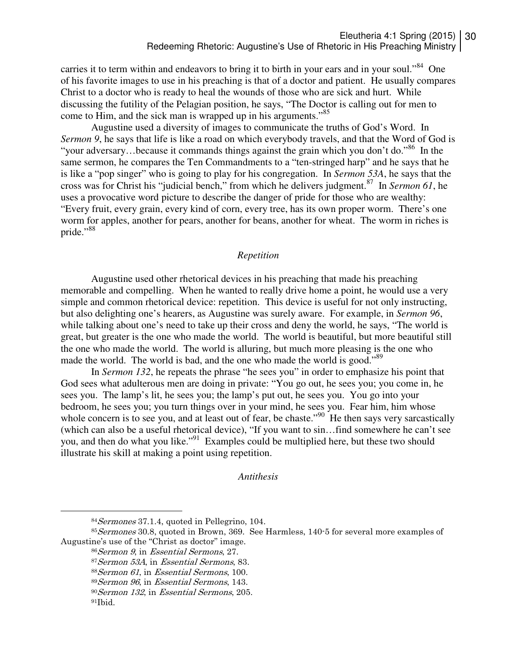carries it to term within and endeavors to bring it to birth in your ears and in your soul."<sup>84</sup> One of his favorite images to use in his preaching is that of a doctor and patient. He usually compares Christ to a doctor who is ready to heal the wounds of those who are sick and hurt. While discussing the futility of the Pelagian position, he says, "The Doctor is calling out for men to come to Him, and the sick man is wrapped up in his arguments."<sup>85</sup>

Augustine used a diversity of images to communicate the truths of God's Word. In *Sermon 9*, he says that life is like a road on which everybody travels, and that the Word of God is "your adversary...because it commands things against the grain which you don't do."<sup>86</sup> In the same sermon, he compares the Ten Commandments to a "ten-stringed harp" and he says that he is like a "pop singer" who is going to play for his congregation. In *Sermon 53A*, he says that the cross was for Christ his "judicial bench," from which he delivers judgment.<sup>87</sup> In *Sermon 61*, he uses a provocative word picture to describe the danger of pride for those who are wealthy: "Every fruit, every grain, every kind of corn, every tree, has its own proper worm. There's one worm for apples, another for pears, another for beans, another for wheat. The worm in riches is pride."<sup>88</sup>

# *Repetition*

 Augustine used other rhetorical devices in his preaching that made his preaching memorable and compelling. When he wanted to really drive home a point, he would use a very simple and common rhetorical device: repetition. This device is useful for not only instructing, but also delighting one's hearers, as Augustine was surely aware. For example, in *Sermon 96*, while talking about one's need to take up their cross and deny the world, he says, "The world is great, but greater is the one who made the world. The world is beautiful, but more beautiful still the one who made the world. The world is alluring, but much more pleasing is the one who made the world. The world is bad, and the one who made the world is good."<sup>89</sup>

In *Sermon 132*, he repeats the phrase "he sees you" in order to emphasize his point that God sees what adulterous men are doing in private: "You go out, he sees you; you come in, he sees you. The lamp's lit, he sees you; the lamp's put out, he sees you. You go into your bedroom, he sees you; you turn things over in your mind, he sees you. Fear him, him whose whole concern is to see you, and at least out of fear, be chaste."<sup>90</sup> He then says very sarcastically (which can also be a useful rhetorical device), "If you want to sin…find somewhere he can't see you, and then do what you like."<sup>91</sup> Examples could be multiplied here, but these two should illustrate his skill at making a point using repetition.

#### *Antithesis*

<sup>84</sup>Sermones 37.1.4, quoted in Pellegrino, 104.

<sup>&</sup>lt;sup>85</sup> Sermones 30.8, quoted in Brown, 369. See Harmless, 140-5 for several more examples of Augustine's use of the "Christ as doctor" image.

<sup>86</sup>Sermon 9, in Essential Sermons, 27.

<sup>87</sup>Sermon 53A, in Essential Sermons, 83.

 $88$ Sermon 61, in Essential Sermons, 100.

<sup>89</sup>Sermon 96, in Essential Sermons, 143.

<sup>90</sup>Sermon 132, in Essential Sermons, 205.

<sup>91</sup>Ibid.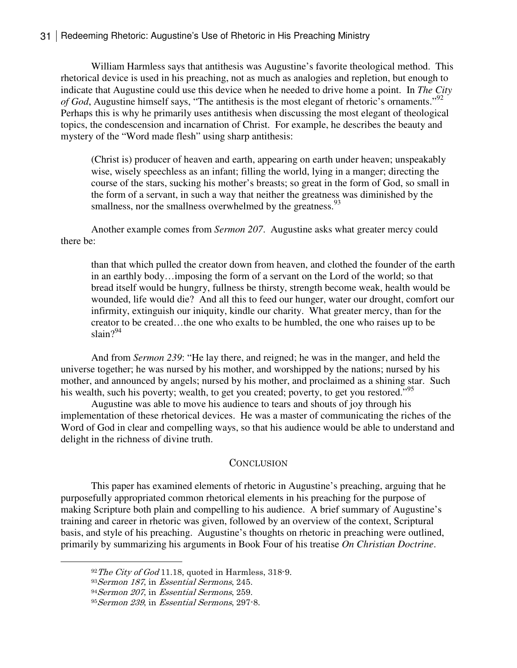William Harmless says that antithesis was Augustine's favorite theological method. This rhetorical device is used in his preaching, not as much as analogies and repletion, but enough to indicate that Augustine could use this device when he needed to drive home a point. In *The City of God*, Augustine himself says, "The antithesis is the most elegant of rhetoric's ornaments."<sup>92</sup> Perhaps this is why he primarily uses antithesis when discussing the most elegant of theological topics, the condescension and incarnation of Christ. For example, he describes the beauty and mystery of the "Word made flesh" using sharp antithesis:

(Christ is) producer of heaven and earth, appearing on earth under heaven; unspeakably wise, wisely speechless as an infant; filling the world, lying in a manger; directing the course of the stars, sucking his mother's breasts; so great in the form of God, so small in the form of a servant, in such a way that neither the greatness was diminished by the smallness, nor the smallness overwhelmed by the greatness.<sup>93</sup>

 Another example comes from *Sermon 207*. Augustine asks what greater mercy could there be:

than that which pulled the creator down from heaven, and clothed the founder of the earth in an earthly body…imposing the form of a servant on the Lord of the world; so that bread itself would be hungry, fullness be thirsty, strength become weak, health would be wounded, life would die? And all this to feed our hunger, water our drought, comfort our infirmity, extinguish our iniquity, kindle our charity. What greater mercy, than for the creator to be created…the one who exalts to be humbled, the one who raises up to be slain? $94$ 

And from *Sermon 239*: "He lay there, and reigned; he was in the manger, and held the universe together; he was nursed by his mother, and worshipped by the nations; nursed by his mother, and announced by angels; nursed by his mother, and proclaimed as a shining star. Such his wealth, such his poverty; wealth, to get you created; poverty, to get you restored."<sup>95</sup>

Augustine was able to move his audience to tears and shouts of joy through his implementation of these rhetorical devices. He was a master of communicating the riches of the Word of God in clear and compelling ways, so that his audience would be able to understand and delight in the richness of divine truth.

#### **CONCLUSION**

 This paper has examined elements of rhetoric in Augustine's preaching, arguing that he purposefully appropriated common rhetorical elements in his preaching for the purpose of making Scripture both plain and compelling to his audience. A brief summary of Augustine's training and career in rhetoric was given, followed by an overview of the context, Scriptural basis, and style of his preaching. Augustine's thoughts on rhetoric in preaching were outlined, primarily by summarizing his arguments in Book Four of his treatise *On Christian Doctrine*.

 $92$  The City of God 11.18, quoted in Harmless, 318-9.

<sup>93</sup>Sermon 187, in Essential Sermons, 245.

<sup>94</sup>Sermon 207, in Essential Sermons, 259.

<sup>95</sup>Sermon 239, in Essential Sermons, 297-8.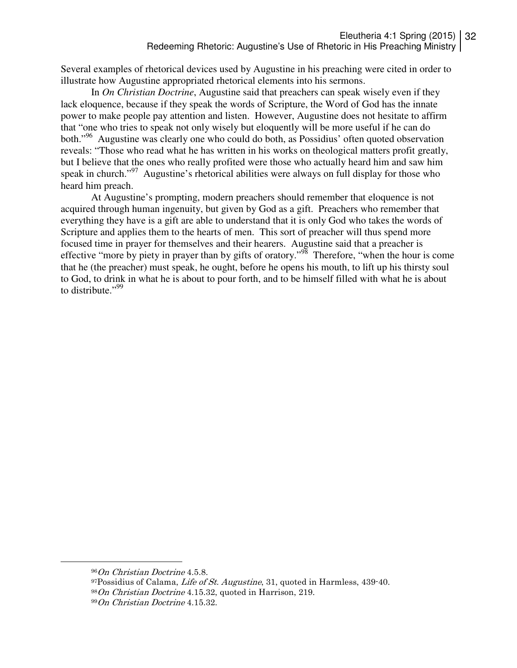Several examples of rhetorical devices used by Augustine in his preaching were cited in order to illustrate how Augustine appropriated rhetorical elements into his sermons.

 In *On Christian Doctrine*, Augustine said that preachers can speak wisely even if they lack eloquence, because if they speak the words of Scripture, the Word of God has the innate power to make people pay attention and listen. However, Augustine does not hesitate to affirm that "one who tries to speak not only wisely but eloquently will be more useful if he can do both."<sup>96</sup> Augustine was clearly one who could do both, as Possidius' often quoted observation reveals: "Those who read what he has written in his works on theological matters profit greatly, but I believe that the ones who really profited were those who actually heard him and saw him speak in church."<sup>97</sup> Augustine's rhetorical abilities were always on full display for those who heard him preach.

At Augustine's prompting, modern preachers should remember that eloquence is not acquired through human ingenuity, but given by God as a gift. Preachers who remember that everything they have is a gift are able to understand that it is only God who takes the words of Scripture and applies them to the hearts of men. This sort of preacher will thus spend more focused time in prayer for themselves and their hearers. Augustine said that a preacher is effective "more by piety in prayer than by gifts of oratory."<sup>98</sup> Therefore, "when the hour is come that he (the preacher) must speak, he ought, before he opens his mouth, to lift up his thirsty soul to God, to drink in what he is about to pour forth, and to be himself filled with what he is about to distribute."<sup>99</sup>

<sup>96</sup>On Christian Doctrine 4.5.8.

 $97$ Possidius of Calama, *Life of St. Augustine*, 31, quoted in Harmless, 439-40.  $98On$  Christian Doctrine 4.15.32, quoted in Harrison, 219. 99On Christian Doctrine 4.15.32.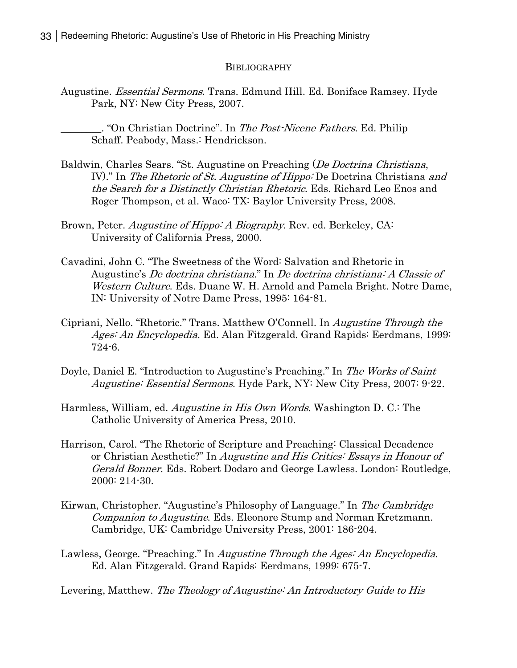#### BIBLIOGRAPHY

Augustine. *Essential Sermons*. Trans. Edmund Hill. Ed. Boniface Ramsey. Hyde Park, NY: New City Press, 2007.

. "On Christian Doctrine". In The Post-Nicene Fathers. Ed. Philip Schaff. Peabody, Mass.: Hendrickson.

- Baldwin, Charles Sears. "St. Augustine on Preaching (De Doctrina Christiana, IV)." In The Rhetoric of St. Augustine of Hippo: De Doctrina Christiana and the Search for a Distinctly Christian Rhetoric. Eds. Richard Leo Enos and Roger Thompson, et al. Waco: TX: Baylor University Press, 2008.
- Brown, Peter. Augustine of Hippo: A Biography. Rev. ed. Berkeley, CA: University of California Press, 2000.
- Cavadini, John C. "The Sweetness of the Word: Salvation and Rhetoric in Augustine's De doctrina christiana." In De doctrina christiana: A Classic of Western Culture. Eds. Duane W. H. Arnold and Pamela Bright. Notre Dame, IN: University of Notre Dame Press, 1995: 164-81.
- Cipriani, Nello. "Rhetoric." Trans. Matthew O'Connell. In Augustine Through the Ages: An Encyclopedia. Ed. Alan Fitzgerald. Grand Rapids: Eerdmans, 1999: 724-6.
- Doyle, Daniel E. "Introduction to Augustine's Preaching." In The Works of Saint Augustine: Essential Sermons. Hyde Park, NY: New City Press, 2007: 9-22.
- Harmless, William, ed. *Augustine in His Own Words*. Washington D. C.: The Catholic University of America Press, 2010.
- Harrison, Carol. "The Rhetoric of Scripture and Preaching: Classical Decadence or Christian Aesthetic?" In Augustine and His Critics: Essays in Honour of Gerald Bonner. Eds. Robert Dodaro and George Lawless. London: Routledge, 2000: 214-30.
- Kirwan, Christopher. "Augustine's Philosophy of Language." In The Cambridge Companion to Augustine. Eds. Eleonore Stump and Norman Kretzmann. Cambridge, UK: Cambridge University Press, 2001: 186-204.
- Lawless, George. "Preaching." In Augustine Through the Ages: An Encyclopedia. Ed. Alan Fitzgerald. Grand Rapids: Eerdmans, 1999: 675-7.

Levering, Matthew. The Theology of Augustine: An Introductory Guide to His